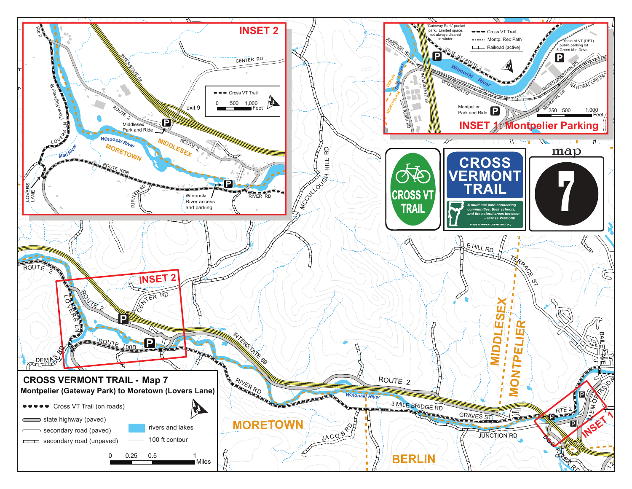